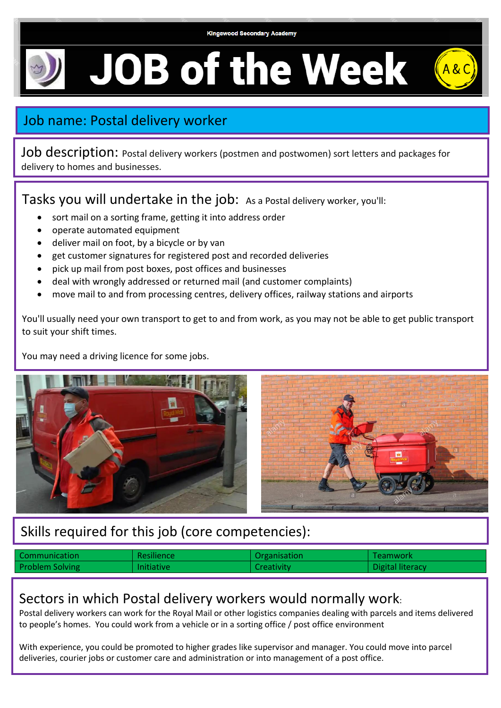## **JOB of the Week**



Job description: Postal delivery workers (postmen and postwomen) sort letters and packages for delivery to homes and businesses.

Tasks you will undertake in the job: As a Postal delivery worker, you'll:

- sort mail on a sorting frame, getting it into address order
- operate automated equipment
- deliver mail on foot, by a bicycle or by van
- get customer signatures for registered post and recorded deliveries
- pick up mail from post boxes, post offices and businesses
- deal with wrongly addressed or returned mail (and customer complaints)
- move mail to and from processing centres, delivery offices, railway stations and airports

You'll usually need your own transport to get to and from work, as you may not be able to get public transport to suit your shift times.

You may need a driving licence for some jobs.



## Skills required for this job (core competencies):

| Communication          | <b>Resilience</b> | Organisation      | Teamwork         |
|------------------------|-------------------|-------------------|------------------|
| <b>Problem Solving</b> | <b>Initiative</b> | <b>Creativity</b> | Digital literacy |

## Sectors in which Postal delivery workers would normally work:

Postal delivery workers can work for the Royal Mail or other logistics companies dealing with parcels and items delivered to people's homes. You could work from a vehicle or in a sorting office / post office environment

With experience, you could be promoted to higher grades like supervisor and manager. You could move into parcel deliveries, courier jobs or customer care and administration or into management of a post office.